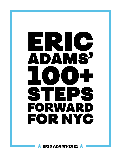# ERIC ADAMS' 100+ STEPS FORWARD FOR NYC

ERIC ADAMS 2021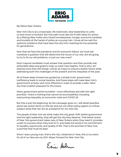

My fellow New Yorkers:

New York City is at a crossroads. We need bold, clear leadership to unite us and move us forward. But that path must also be lit with ideas for action. As a lifelong New Yorker who faced homelessness, hunger, economic hardship and brutality at the hands of police as a young man, I know all too well the systemic problems that have kept this city from reaching its true potential for generations.

Now that we face this pandemic and its economic fallout, we must ask ourselves a question that will determine the future of our city: Are we going to try to fix our old problems, or just our new ones?

Each mayoral candidate must answer that question and then provide real, actionable ideas and goals to help us reach new heights. That is why I am sharing more than 100 things I will do as mayor to ensure a better future while addressing both the challenges of the present and the inequities of the past.

All of these steps forward are guided by a simple truth: government inefficiency leads to social injustice. And these steps will make New York's government smarter and more effective in order to provide a safer, fairer city that is better prepared for the future.

When government performs better—more effectively and with the right priorities—there is nothing that cannot be accomplished, including overcoming inequality, an economic crisis and COVID-19.

But this is just the beginning. As the campaign goes on, I will detail specifics about key action items on this list and put out other policy papers on critical subject areas that can act as a blueprint for our new city.

The people of New York are what make this city great. With better government and the right leadership, they will get the city they deserve. That better brand of New York government takes care of New Yorkers when they need it, provides a path to success when they look for it, and leads the world in its commitment to equality, opportunity, and quality of life. That is the promise of New York; a promise that must be kept.

Since I was a young man, that is the city I dreamed of. Now, this is my vision for all of us. Here are my 100+ Steps Forward for New York City.

Eric Arlu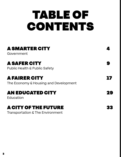## TABLE OF **CONTENTS**

| <b>A SMARTER CITY</b><br>Government                                                                                                                                      |           |                                                                 |  |
|--------------------------------------------------------------------------------------------------------------------------------------------------------------------------|-----------|-----------------------------------------------------------------|--|
| <b>A SAFER CITY</b><br><b>Public Health &amp; Public Safety</b><br><b>A FAIRER CITY</b><br>The Economy & Housing and Development<br><b>AN EDUCATED CITY</b><br>Education | 16,<br>29 |                                                                 |  |
|                                                                                                                                                                          |           | <b>A CITY OF THE FUTURE</b><br>Transportation & The Environment |  |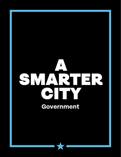## <span id="page-4-0"></span>A SMARTER CITY **Government**

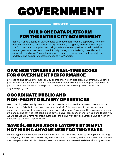## GOVERNMENT

#### BIG STEP

### BUILD ONE DATA PLATFORM FOR THE ENTIRE CITY GOVERNMENT

Believe it or not, nearly all City agencies currently operate wholly separately from one another, not sharing data or metrics. By combining all agency metrics onto a single platform similar to CompStat and using analytics to track performance in real time, we can go from a reactive approach to City management to being proactive and, eventually, predictive. The cost savings and improved performance will save billions of dollars and deliver far better services to New Yorkers.

#### GIVE NEW YORKERS A REAL-TIME SCORE FOR GOVERNMENT PERFORMANCE

By creating one data platform for all City operations, we can also create a continually updated public score for each agency going far beyond the Mayor's Management Report, based on the performance relative to its stated goals for the year. Boston already does this with its CityScore program.

#### COORDINATE PUBLIC AND NON-PROFIT DELIVERY OF SERVICES

New York City relies heavily on non-profits to provide critical services to New Yorkers that are funded by the City. But there is no central authority in City government that oversees and coordinates delivery of these services on a day-to-day basis. Because of this, we are not finding efficiencies and savings that can help us better deliver services to more New Yorkers. That is why we will create a real-time reporting system for the delivery of services across a unified network, overseen by the First Deputy Mayor.

#### SAVE \$1.5B AND AVOID LAYOFFS BY SIMPLY NOT HIRING ANYONE NEW FOR TWO YEARS

We can significantly reduce labor costs by \$1.5 billion through attrition by not replacing retiring or resigning City workers and working with the State to offer early retirements to others over the next two years. This will also allow us to retain the workers we need to deliver vital City services.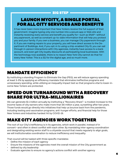#### LAUNCH MYCITY, A SINGLE PORTAL FOR ALL CITY SERVICES AND BENEFITS

It has never been more important that New Yorkers receive the full support of their government. Imagine typing only one number into a secure app or Web site and instantly receiving every service and benefit you qualify for—such as SNAP—without any paperwork, as well as constant up-to-date information that will help you protect you and your family. If you own a business, you can manage City paperwork through it. If you are making repairs to your property, you will have direct access to the Department of Buildings. And, if you opt-in to using a chip-enabled City ID, you can sail through in-person interactions with City agencies, instantly have access to a bank account, and even get City loyalty discounts at participating local businesses. With the technology now available, there is no reason New York City cannot do that for every New Yorker. This is a 311 for the digital age, and so much more.

#### MANDATE EFFICIENCY

By instituting a standing Program to Eliminate the Gap (PEG), we will reduce agency spending at least 3-5% by applying an efficiency mandate that eliminates ineffective programs and unnecessary spending, while utilizing an inequality impact test so that programs vital to lower-income New Yorkers are protected.

#### SPEED OUR TURNAROUND WITH A RECOVERY SHARE FOR ULTRA-MILLIONAIRES

We can generate \$1-2 billion annually by instituting a "Recovery Share"—a modest increase to the income taxes of city earners who make more than \$5 million a year, sunsetting after two years. Those funds would go directly into initiatives that help us bounce back from the pandemic, including testing and vaccination programs, anti-hunger efforts, and financial help for those New Yorkers and industries hardest hit by COVID-19.

#### MAKE CITY AGENCIES WORK TOGETHER

The root of our City's inefficiency is in its agencies, which work in parallel, instead of in concert—and often in direct conflict with each other. By mandating inter-agency coordination and designating existing senior staff to a citywide council that meets regularly to align goals, we will institutionalize coordination to reduce inefficiency and inequality.

That council will be tasked with three specific mandates:

- Define the mission of each agency
- Ensure the missions of the agencies meet the overall mission of the City government as
- defined by city leadership
- Evaluate agencies to ensure no agency's actions conflict with another agency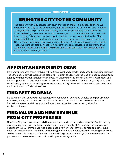#### BRING THE CITY TO THE COMMUNITY

The problem with City services isn't just the lack of them--it is access to them. We must bring the City to the community, right to the doorstep of New Yorkers. Creating a program that helps New Yorkers is only half the job; educating New Yorkers about it and delivering those services is also necessary for it to be effective. We can do this by equipping City workers with computer tablets that are connected to the City's unified digital platform and sending them into the areas with the greatest need for City services, setting up shop in open storefronts, NYCHA complexes and even parks. These workers can also connect New Yorkers to federal services and programs that will help us return some of the \$20 billion-plus a year that New York taxpayers send to D.C.that we do not get back.

## APPOINT AN EFFICIENCY CZAR

Efficiency mandates mean nothing without oversight and a leader dedicated to ensuring success. The Efficiency Czar will oversee the standing Program to Eliminate the Gap and conduct quarterly agency and department audits to continuously uncover inefficiency in the City government and make suggestions for changes. The Czar will also oversee the evaluation of large City contracts —particularly related to recurring expenses such as utility bills—and partner with companies that are incentivized to find cost savings.

#### FIND BETTER DEALS

Far too many City contracts just keep getting renewed or extended despite poor performance. At the beginning of the new administration, all contracts over \$10 million will be put under immediate review, and those that are ineffective, or can be done better by the City, will be eliminated.

#### FIND VALUE AND NEW REVENUE FROM CITY PROPERTIES

New York City owns and controls billions-of-dollars worth of property across the five boroughs, representing huge potential value and revenue to pay for critical City services when we most need them. We will immediately do a complete inventory of all City properties and determine best use—whether they should be utilized by government agencies, used for housing or services, sold or leased—in order to reduce costs across City government and yield income that can be put toward core services to maintain and improve quality of life.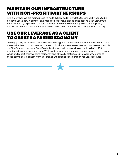### MAINTAIN OUR INFRASTRUCTURE WITH NON-PROFIT PARTNERSHIPS

At a time when we are facing massive multi-billion-dollar City deficits, New York needs to be creative about how it pays for and manages expensive pieces of its essential infrastructure. For instance, by expanding the role of franchises to handle capital projects in our parks, we will partner with conservancies who can execute work faster and cheaper than the City.

#### USE OUR LEVERAGE AS A CLIENT TO CREATE A FAIRER ECONOMY

To keep good jobs in New York and advance our goals for a fairer economy, we will reward businesses that hire local workers and benefit minority and female owners and workers—especially on City-financed projects. Specifically, businesses will be asked to commit to hiring 75% city-based workers, prioritizing M/WBE contractors, and ensuring their contractors pay a living wage and report their workers' residency and ethnicity statistics. Employers who agree to these terms could benefit from tax breaks and special consideration for City contracts.

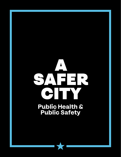## <span id="page-9-0"></span>A SAHER CITY **Public Health & Public Safety**

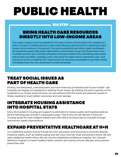## PUBLIC HEALTH

#### BIG STEP and the

#### BRING HEALTH CARE RESOURCES DIRECTLY INTO LOW-INCOME AREAS

Two major reasons that the pandemic hit lower-income communities the hardest are lack of access to healthcare and a near total failure by government to effectively reach those communities on the ground. During the pandemic and after, health professionals should be paired with local organizations and workers to go into those same communities and set up in NYCHA complexes and open storefronts, partnering with public and private providers, creating a one-stop shop for basic exams, preventive care, and resources to live a healthier life. These locations would be accessible to any New Yorker, including those who are uninsured or undocumented.

#### TREAT SOCIAL ISSUES AS PART OF HEALTH CARE

Poverty, homelessness, unemployment and food insecurity all directly lead to poor health—yet hospitals are largely not equipped to address those issues. By utilizing the extra capacity in H+H hospitals to co-locate social services, we will address both the social and physical causes of illness, leading to much better outcomes and cost savings.

#### INTEGRATE HOUSING ASSISTANCE INTO HOSPITAL STAYS

Every \$1 invested in housing and support is estimated to reduce public and hospital costs by \$2 the following year and \$6 in subsequent years. That is why we will identify if there are housing issues for each indigent patient and offer direct housing help at hospitals through community-based organizations.

### EXPAND PREVENTATIVE HEALTHCARE AT H+H

Our healthcare system should include far more education and resources to promote lifestyle medicine habits, such as healthy eating and self-care, that can treat and prevent illness. We will open additional health clinics like the one we established at Bellevue Hospital, the Lifestyle Medicine Program, to teach healthy habits, prevent and reverse chronic disease, and promote preventive care.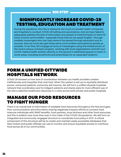#### SIGNIFICANTLY INCREASE COVID-19 TESTING, EDUCATION AND TREATMENT

During the pandemic, the City is relying far too much on private health companies and hospitals to conduct COVID-19 testing and vaccinations. And we have failed to adequately address the lack of information and spread of misinformation in hard-hit lower-income communities—especially those that do not speak English—through credible messengers who can help prevent the spread through education and resources. Now we must also get those same communities vaccinated as quickly as possible. To do that, let's engage an army of messengers using the infrastructure of the recent census outreach program, working with local organizations. And let's put COVID-tasked health workers directly on the ground in dedicated spaces in lower-income areas, including storefronts and pharmacies for an expanded footprint.

#### FORM A UNIFIED CITYWIDE HOSPITALS NETWORK

COVID-19 showed us how lack of coordination between our health providers creates inefficiencies and inequities that cost lives. When the system is set up to equitably distribute poorer, uninsured patients, outcomes will improve. We will form a unified citywide hospitals network that coordinates care for indigent patients and shares data for more efficient use of the city's collective healthcare resources in a crisis across both private and public hospitals.

#### MANAGE OUR FOOD RESOURCES TO FIGHT HUNGER

There is an overall lack of information of available food resources throughout the five boroughs. Poor communication and information sharing negatively impacts efforts to connect food insecure individuals with SNAP benefits, food pantries, soup kitchens and other food resources; and this is evident now more than ever in the midst of the COVID-19 pandemic. We will form an integrated and community-engaged structure to coordinate food policy in NYC. A critical component of this structure will be to create and maintain easily accessible databases that New Yorkers and public officials can use to monitor and ensure equitable access to nutritious food across all of our communities.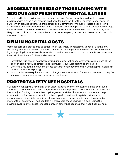#### ADDRESS THE NEEDS OF THOSE LIVING WITH SERIOUS AND PERSISTENT MENTAL ILLNESS

Sometimes the best policy is not something new and flashy, but rather to double down on programs with proven track records. We know, for instance, that the Fountain House model of care—which creates structured therapeutic social settings for members—helps people living with serious and persistent mental illness transition from therapeutic to non-therapeutic settings. Individuals who use Fountain House for residential rehabilitation services are consistently less likely to be admitted to the hospital or to use the emergency department. So we will expand this program citywide.

### REIN IN HOSPITAL COSTS

Costs for care and procedures to patients can vary wildly from hospital to hospital in the city, surprising New Yorkers—even those with private insurance plans—with massive bills and indicating that pricing in some cases is more about profits than the actual cost of healthcare. To reduce the cost of healthcare for New Yorkers we will:

- Reveal the true cost of healthcare by requiring greater transparency by providers both at the point of care directly to patients and in providers' overall reporting to the public.
- Convene a roundtable of unions across sectors to collectively bargain with hospital systems in order to standardize pricing.
- Push the State to require hospitals to charge the same amount for each procedure and require insurance companies to pay the same amount as well.

#### PROTECT SAFETY NET HOSPITALS

Our safety net hospitals have long been under-funded and were teetering on the brink even before COVID hit. Federal funds to fight the virus have kept them afloat for now—but the State has to adjust funding to shore them up long-term. And the City must also do more. To help safety net hospitals survive, we will pair them up with wealthier hospitals that are able to negotiate more financially beneficial rates with commercial insurers because they treat far more of their customers. The hospitals will then share those savings in a pool, using their buying power to lower costs for outer-borough safety net hospitals that need financial help.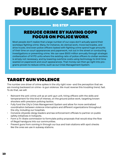## PUBLIC SAFETY

#### BIG STEP

#### REDUCE CRIME BY HAVING COPS FOCUS ON POLICE WORK

Most people don't realize that a large number of our cops don't actually spend their workdays fighting crime. Many, for instance, do clerical work, move barricades, and drive trucks. And even police officers tasked with fighting crime spend huge amounts of their time on court appearances and paperwork, not out in the street or conducting investigations or preventing crime. We can save \$500 million annually through strategic civilianization of NYPD units where the existing ratio of police officers to civilian workers is simply not necessary, and by lowering overtime costs using technology to limit time wasted on paperwork and court appearances. That money can then go right into programs proven to reduce crime, such as our Crisis Management System.

### TARGET GUN VIOLENCE

The number one driver of crime spikes in the city right now—and the perception that we are moving backward on crime—is gun violence. We must reverse this troubling trend, fast. To do that, we will:

- Reinvent the anti-crime unit as an anti-gun unit, hiring officers with the skills and temperament for this kind of intense, on the ground police work, targeting known shooters with precision policing tactics.
- Fully fund the City's Crisis Management System and allow for more centralized coordination between violence interrupters and different organizations throughout the city, including our hospitals.
- Convene citywide clergy leaders and law enforcement officials to partner on public safety initiatives in hotspots.
- Form a Tri-State commission to formulate policy proposals that would stop the flow of illegal handguns into our communities.
- Prevent guns from coming in through our bus and train stations with spot checks like the ones we use in subway stations.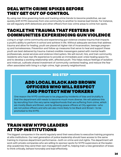#### DEAL WITH CRIME SPIKES BEFORE THEY GET OUT OF CONTROL

By using real-time governing tools and tracking crime trends to become predictive, we can quickly shift NYPD resources from one community to another to reverse bad trends. For instance, we will regularly shift detectives and other officers from low-crime areas to crime hot-spots.

#### TACKLE THE TRAUMA THAT FESTERS IN COMMUNITIES EXPERIENCING GUN VIOLENCE

Living in a high-crime community and experiencing gun violence creates trauma that impacts a youth's ability to perform in school and achieve in life. Without adequate services that address trauma and allow for healing, youth are placed at higher risk of incarceration, teenage pregnancy and homelessness. Prevention and follow up measures that serve to heal and support these youth are best delivered by trauma-trained credible messengers paired with mental health professionals, social services and violence interrupters. We will recruit, hire, and train community residents who have real-life experience to provide an immediate post-crisis healing space for, and to develop a working relationship with, affected youth. This helps reduce feelings of isolation and mistrust, cultivate shared investment of community-centered healing, and reduce the fear often associated with living in a high-crime, high-poverty neighborhood.

#### BIG STEP

#### ADD LOCAL BLACK AND BROWN OFFICERS WHO WILL RESPECT AND PROTECT NEW YORKERS

One reason the NYPD continues to be plagued by incidents of bias and brutality is that the department still needs to become much more diverse. We will address this by recruiting from the very same neighborhoods that are suffering from crime, which are mostly Black and Brown, and by allowing peace officers at City agencies—who are not police officers and who are also more likely to be Black and Brown—to be promoted to the NYPD.

#### TRAIN NEW NYPD LEADERS AT TOP INSTITUTIONS

The biggest companies in the world regularly send their executives to executive training programs at elite institutions. Our next generation of police leadership should have access to the same training to improve department performance—both on crime and civil rights. The department will work with private companies who are willing to sponsor spots for NYPD supervisors at the leadership academies they send their own management staff to, helping train a new generation of brass to think critically, behave honorably and lead effectively.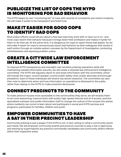#### PUBLICIZE THE LIST OF COPS THE NYPD IS MONITORING FOR BAD BEHAVIOR

The NYPD keeps its own "monitoring list" of cops with records of complaints and violent incidents. We will make it public to be transparent and build trust.

### MAKE IT EASIER FOR GOOD COPS TO IDENTIFY BAD COPS

Most police officers could tell you about a few bad cops they work with or have run in to—and most cops resent their behavior because it brings down their profession and makes it harder for them to do their job. At the same time, it is dangerous for cops to report those bad apples. So we will make it easier for cops to anonymously report bad behavior by their colleagues that results in swift action through an outside system overseen by the Department of Investigation, protecting whistleblowers and exposing problem police.

### CREATE A CITYWIDE LAW ENFORCEMENT INTELLIGENCE COMMITTEE

To improve NYPD transparency and oversight over sensitive policing operations while still maintaining needed information security, we will create a citywide law enforcement intelligence committee. The NYPD will regularly report to and share information with the committee, which will include the mayor, council speaker, council public safety chair, public advocate and borough presidents. Each of these individuals will receive top secret clearance. The committee can also then vote to determine when and how information on operations is disclosed to the public, rather than relying on the NYPD to make proactive disclosures.

## CONNECT PRECINCTS TO THE COMMUNITY

To make precinct houses more accessible to the communities they serve, we will revamp them to be more welcoming; improve them with public high-speed internet and wi-fi access; and hire specialized outreach and public information staff to change the culture of the houses into places where residents can come to learn about and participate in social and NYPD services and programs, particularly for families, children and youth.

#### EMPOWER COMMUNITIES TO HAVE A SAY IN THEIR PRECINCT LEADERSHIP

Community policing is just a slogan if the NYPD is not, in fact, acting on what a community wants and needs. We will empower community boards and precinct councils to play a role in approving and vetoing by supermajority any precinct commander candidates and community affairs officers within their respective areas.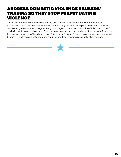#### ADDRESS DOMESTIC VIOLENCE ABUSERS' TRAUMA SO THEY STOP PERPETUATING **VIOLENCE**

The NYPD responds to approximately 230,000 domestic incidents each year and 18% of homicides in NYC are due to domestic violence. Many abusers are repeat offenders. We must acknowledge that current programming to change abusers' behavior is insufficient and doesn't deal with root causes, which are often traumas experienced by the abuser themselves. To address this, we will launch the "Family Violence Perpetrator Program", based on cognitive and behavioral therapy, in order to evaluate abusers' traumas and treat them to prevent further violence.

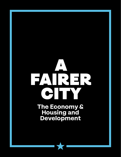# <span id="page-17-0"></span>A FAIRER CITY

**The Economy & Housing and Development**

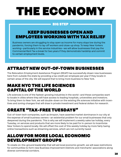## THE ECONOMY

#### BIG STEP

#### KEEP BUSINESSES OPEN AND EMPLOYEES WORKING WITH TAX RELIEF

Business owners are struggling to stay open as income for many stays low during the pandemic, forcing them to lay-off workers and close-up shop. To keep New Yorkers working—particularly in the service industries—we will allow businesses that pay the Commercial Rent Tax a break for two years if they demonstrate hardship and commit to certain employment levels.

## ATTRACT NEW OUT-OF-TOWN BUSINESSES

The Relocation Employment Assistance Program (REAP) has successfully drawn new businesses here from outside the state by providing a tax credit per employee per year if they locate in certain areas of the city. We will expand that to bring more business to New York.

#### MAKE NYC THE LIFE SCIENCES CAPITAL OF THE WORLD

Life sciences is one of the fastest-growing industries in the world—and these companies want to locate in cities where they will have access to leading hospitals, universities and investors. To bring them to New York, we will double-down on the existing life sciences initiative with incentives and zoning changes that will draw in private investment and federal dollars for research.

#### CREATE "TAX-FREE TUESDAYS"

Out-of-town tech companies, such as Amazon, have asserted market dominance in our city at the expense of small business owners—an existential problem for our small businesses that only deepened during the pandemic. This is why we will implement a weekly sales tax holiday, every Tuesday, on services and products that are more likely to be paid for in-person to incentivize New Yorkers to spend locally. We will offset the cost of this weekly holiday by more fairly taxing online transactions such as streaming services, which are not currently taxed.

#### ALLOW FOR MORE LOCAL ECONOMIC DEVELOPMENT GROUPS

To create on-the-ground leadership that will aid local economic growth, we will ease restrictions for communities to form new Business Improvement Districts and merchants' associations along diverse commercial corridors.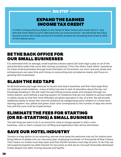#### EXPAND THE EARNED INCOME TAX CREDIT

In order to keep precious dollars in the hands of New Yorkers who most need it—and who are most-likely to put it right back into our local economy—we will boost the City's Earned Income Tax Credit amount for frontline workers by increasing their share to 30% of the Federal return.

#### BE THE BACK OFFICE FOR OUR SMALL BUSINESSES

It is estimated that on average, small business owners spend 120 work days a year on all of the administrative tasks that come with owning a business. If the City offers "back office" assistance for these small businesses through local Chambers of Commerce, our mom and pop shops and entrepreneurs can save time and money on accounting and compliance needs, and focus on growing their businesses.

#### SLASH THE RED TAPE

Small businesses pay huge fees just to launch and stay in business, and then face large fines for relatively small violations—many of which are due to lack of education about the law, not knowingly breaking it. We will make the permitting process easier and cheaper through our online system, and institute a warning system for violations that are not related to serious health or safety issues so that first-time offenders are given education in lieu of a fine. We will provide additional clarity to those who commit violations by categorizing every violation in a three level warning system: red, yellow and green. Each color corresponds to the number of days the owner has until the cure must be implemented.

#### ELIMINATE THE FEES FOR STARTING (OR RE-STARTING) A SMALL BUSINESS

The last thing we want to do in an economic crisis is charge people to start a new business—and re-start a closed one. All filing and registration fees will be eliminated.

#### SAVE OUR HOTEL INDUSTRY

Tourism is a key sector of our economy, and we must keep the welcome mat out for visitors who bring billions of dollars into our city every year, employing hundreds-of-thousands of New Yorkers. That means our hotels must stay open and their 50,000 workers must stay at work. To do that, we will suspend property tax debt interest for two years so that we do not push financially distressed hotels deeper into debt, forcing closures and layoffs.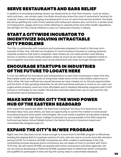## SERVE RESTAURANTS AND BARS RELIEF

In addition to providing building owners tax abatements so that their tenants—such as restaurants and bars—can remain open, the State should also share the cost of restaurants' workers for a period. Instead of simply paying unemployment to out-of-work food service workers, the State should be splitting the cost of their salaries with restaurant owners who commit to a certain level of employment, wages and hours while adhering to capacity limits and other health regulations. We will fight for this critical initiative to save our restaurant industry in Albany.

#### START A CITYWIDE INCUBATOR TO INCENTIVIZE SOLVING INTRACTABLE CITY PROBLEMS

The City, in partnership with investors and businesses prepared to invest in the long-term success of New York, will start an incubator to fund innovators focused on solving systemic citywide problems that lead to inequities. New Yorkers do not need another meal delivery service or another social media sensation nearly as much as we need our brightest minds to come together and solve issues such as job placement and outer-borough transportation.

#### ENCOURAGE STARTUPS IN INDUSTRIES OF THE FUTURE TO LOCATE HERE

It is far too difficult for innovators and entrepreneurs to start their businesses in New York City. Real estate costs and high costs of living have made some of the most brilliant talent turn to other cities. We have suffered as a result because we have missed out on the job opportunities and the birth of fast-growing industries. So we will incentivize startups to move to our outer-boroughs where property costs are more affordable and to develop fellowship programs with CUNY schools in exchange for tax credits. We will also interview failed start-ups to see how the city could better serve entrepreneurs.

#### MAKE NEW YORK CITY THE WIND POWER HUB OF THE EASTERN SEABOARD

With waterfront assets like SBMT, the Red Hook Container Terminal, Port Richmond, the Brooklyn Navy Yard, and others, we have an opportunity to corner the market on wind power manufacturing and other green technologies. We must create a pipeline of education training from middle school, high school, college to educate our young people in this field using the forthcoming Harbor School Middle School, the Harbor School on Governors Island and universities like Kingsborough CC.

### EXPAND THE CITY'S M/WBE PROGRAM

Right now, the City does not do nearly enough to ensure that its M/WBE program is effectively leveling the playing field for business owners of color, who are now in a much more dire situation during COVID. For instance, M/WBE companies are often unable to participate in the City contracting process because prime contractors are not aware of how to connect with them. To fix this, we will match M/WBE companies with prime contractors and other agencies. We can do that by developing a Preferred M/WBE questionnaire to determine which companies are qualified to participate in bids and log the survey data in a searchable database.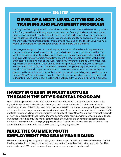#### DEVELOP A NEXT-LEVEL CITYWIDE JOB TRAINING AND PLACEMENT PROGRAM

The City has been trying to train its workforce and connect them to better job opportunities for generations, with varying success. Now we face a global marketplace where there is more competition than ever for labor and the skills needed for emerging, lucrative industries like artificial intelligence, cyber security and life sciences are in demand. We are woefully underprepared for this moment, revealed by the fact that we had hundreds-of-thousands of jobs that we could not fill before the pandemic.

Our program will go to the next level to prepare our workforce by utilizing metrics and connecting human services nonprofits, the private sector, and the communities that most need jobs to identify skill gaps and focus our training on areas we know will have jobs available for our workers. We will implement a data-oriented system with holistic and detailed skills mapping of the labor force by City Council district. Companies looking to hire will then submit a set of jobs and skills profiles. From there, we will match workers with job training and placement providers using local organizations and working with landlords with open storefronts to create service centers and outreach programs. Lastly, we will develop a public-private partnership with large companies established in New York to develop a talent portal with a centralized system of resumes and hiring information using a tool similar to the college admissions Common App process.

#### INVEST IN GREEN INFRASTRUCTURE THROUGH THE CITY'S CAPITAL PROGRAM

New Yorkers spend roughly \$19 billion per year on energy and it happens through the city's highly interdependent electricity, natural gas, and steam networks. This infrastructure is considered some of the oldest and most concentrated in the nation. By upgrading our electrical grid, transitioning our power source to wind and away from natural gas, and implementing traffic controls to reduce idling, we can improve the quality of life of New Yorkers and create thousands of new jobs, especially those in low-income communities facing environmental injustice. These investments are not only the moral path to take, they also make common economic sense because they will create good paying jobs for New Yorkers and businesses will be able to rely on resilient infrastructure in the face of a rapidly changing climate.

#### MAKE THE SUMMER YOUTH EMPLOYMENT PROGRAM YEAR ROUND

We know summer jobs programs help youth develop crucial skills, which lead to better criminal justice, academic, and employment outcomes. In the immediate term, they also help families make ends meet. We need to make these programs year round—and we will.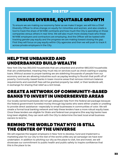#### ENSURE DIVERSE, EQUITABLE GROWTH

To ensure we are making our economy fairer as we make it larger, we will hire a Chief Diversity Officer to drive change on equity for minorities and women, and also create a tool to track the share of M/WBE contracts and how much the City is spending on those companies versus others in real-time. We will also much more closely track who these M/WBE employers and contractors are employing. And the Officer will be tasked with tracking gender pay equity and the progress we are making toward closing the gap. First they will focus on pay equity within City agencies and then we will push to track it across private employers in the City.

#### HELP THE UNBANKED AND UNDERBANKED BUILD WEALTH

New York City has 350,000 households that are unbanked and another 680,000 households that are underbanked, meaning they must rely on services such as check cashing or payday loans. Without access to proper banking we are sidelining thousands of people from our economy and we are allowing industries such as payday lending to flourish that profit off of poverty. Community-based banks in lower-income areas that remove minimum balance requirements and overdraft fees will be granted property tax relief, or their landlords will, in exchange for sharing that relief as a rent break.

#### CREATE A NETWORK OF COMMUNITY-BASED BANKS TO INVEST IN UNDERSERVED AREAS

Our locally owned businesses did not get adequate help from the federal aid package because the federal government funneled money through big banks who were either unable or unwilling to provide direct assistance—especially to small businesses in communities of color. We will create a formal local banking network and help these lenders have a more robust equity base. Once these lenders are eligible for State and federal loan programs (the way big banks have long been eligible), they can work with the City to determine the best local small business owners to lend to.

#### REMIND THE WORLD THAT NYC IS STILL THE CENTER OF THE UNIVERSE

We will organize the largest employers in New York to develop, fund and implement a marketing plan for our city to the rest of the world unlike any ad campaign we have ever undertaken. In addition to pitching our city as the place to visit, live and invest, we will showcase our commitment to public health and public safety to inspire confidence that this is the place to be.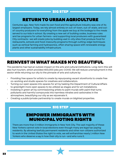#### RETURN TO URBAN AGRICULTURE

Centuries ago, New York made its own food and the agriculture industry was one of its largest employers. Today, we rely almost entirely on out-of-town, out-of-state, and outof-country producers for everything from the apple we buy at the bodega to the meals served to our kids in school. By creating a new set of building codes, business rules and tax programs for urban farmers—and supporting local producers with guaranteed City contracts—we will create jobs by building vast in-city sites that produce food for restaurants, schools and food-insecurity programs through cutting-edge techniques such as vertical farming and hydroponics, often sharing space with renewable energy plants and other sustainability infrastructure.

#### REINVEST IN WHAT MAKES NYC BEAUTIFUL

The pandemic has had an outsize impact on the arts and cultural institutions. Long-term this will also hurt tourism, which provided 400,000 jobs pre-COVID. We will reduce unemployment in this sector while returning our city to the pinnacle of arts and culture by:

- Providing free space for artists to create by repurposing vacant storefronts to create free co-working and studio spaces for creatives and collaborators.
- Turning our open spaces into spaces for art by tasking the Department of Cultural Affairs to greenlight more open spaces to be utilized as stages and for art installations.
- Investing in green art by commissioning artists to paint murals with paint that turns pollutants and harmful compounds into harmless nitrates and carbonates in the atmosphere, beautifying our city as we rejuvenate it.
- Creating a public/private partnership to create murals on blighted properties.

#### BIG STEP

#### EMPOWER IMMIGRANTS WITH MUNICIPAL VOTING RIGHTS

There are more than 3 million immigrants in New York City. The vast majority of these New Yorkers cannot vote in local elections even though many are legal tax-paying residents. By allowing lawfully permanent residents and other non-citizens authorized to work in the United States the right to vote, we will enfranchise nearly 1 million New Yorkers who deserve a say in how their city is run—and who runs it.

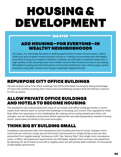## HOUSING & DEVELOPMENT

#### BIG STEP

#### ADD HOUSING—FOR EVERYONE—IN WEALTHY NEIGHBORHOODS

For years, our rezonings focused on adding apartments in lower-income areas—which often just led to higher-income people moving in, making communities less affordable, and often forcing out longtime residents. Instead, we will build in wealthier areas with a high quality of life, allowing lower-and middle-income New Yorkers to move in by adding affordable housing and eliminating the community preference rule in those areas, which prevents many New Yorkers from living in desirable neighborhoods.

### REPURPOSE CITY OFFICE BUILDINGS

We will convert some City office buildings into 100% affordable housing by taking advantage of more City workers working from home and consolidating workers that will still be in-person to free up space.

#### ALLOW PRIVATE OFFICE BUILDINGS AND HOTELS TO BECOME HOUSING

The pandemic has unfortunately left many of our hotels and office buildings empty. In some cases, their owners want to convert the buildings to housing, but current City regulations make that either too expensive or too challenging. By making some zoning tweaks and other rule changes, we can facilitate conversions where appropriate and add desperately needed housing stock—particularly at hotels in the outer boroughs.

### THINK BIG BY BUILDING SMALL

Outdated rules prevent New York developers from building the kind of small, cheaper microunits that are common today around the world. Homeowners in single family zones are also prevented from legally leasing "accessory units" like "granny flats". And single room occupancy units, or SROs, and basement apartments are still illegal, despite their common use elsewhere. By allowing for all of these to be built or legally used, we will quickly add hundreds-of-thousands of affordable apartments.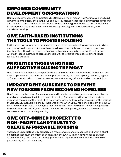#### EMPOWER COMMUNITY DEVELOPMENT CORPORATIONS

Community development corporations (CDCs) were a major reason New York was able to build its way out of the fiscal crisis in the 70s and 80s—by granting these local organizations property and funding to bring economic investment to their own neighborhoods. We will do that again to reinvigorate distressed lower-income areas by creating new economic activity and affordable housing.

#### GIVE FAITH-BASED INSTITUTIONS THE TOOLS TO PROVIDE HOUSING

Faith-based institutions have the social vision and local understanding to advance affordable and supportive housing projects with excess development rights on their own properties, but they also often do not have the financial or technical capacity to do so. We will partner with faith-based institutions across New York City to leverage these development rights for a public purpose.

#### PRIORITIZE THOSE WHO NEED SUPPORTIVE HOUSING THE MOST

New Yorkers in local shelters—especially those who lived in the neighborhood beforehand and were displaced—will be prioritized for supportive housing. So too will young people aging out of foster care, who should be given every chance at starting off adulthood on the right foot.

#### IMPROVE RENT SUBSIDIES TO PREVENT NEW YORKERS FROM BECOMING HOMELESS

New Yorkers on the brink of homelessness and in shelters need far greater assistance than is available now to transition into permanent housing. One way we will accomplish this is by increasing the value of the City FHEPS housing vouchers so they reflect the value of the housing that is actually available in our city. There was a time when \$1,323 for a one bedroom and \$1,580 for a two bedroom was sufficient, but that time is long gone. And when the cost of a person in the shelter system is \$124, and the cost of a family is \$196 per day, increasing the value of vouchers is common sense governing.

#### GIVE CITY-OWNED PROPERTY TO NON-PROFIT LAND TRUSTS TO CREATE AFFORDABLE HOUSING

Vacant and underutilized City property is a massive waste of our resources and often a blight on neighborhoods. In the midst of this housing crisis, we will aggressively seek to partner with community land trusts by offering properties to organizations that commit to building permanently affordable housing.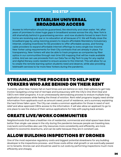#### ESTABLISH UNIVERSAL BROADBAND ACCESS

Access to information should be guaranteed, like electricity and clean water. Yet, after years of promises to close huge gaps in broadband access across the city, New York is still shamefully behind in guaranteeing service—and now students forced to learn from home are receiving sub-par or no education at all because of it. We will finally close the broadband gap by using rezoning powers to require affordable Mandatory Inclusionary Internet, creating incentives for 5G providers to offer affordable access, and forcing cable providers to expand affordable internet offerings to every single low-income New Yorker using requirements for their City contracts that are already in place. For transparency, New Yorkers will also be able to track progress as companies lay fiber optics in our communities through real-time GIS mapping that will be made available online. And we can use proceeds from our Data Tax on Big Tech to pay for any capital and digital literacy costs needed to ensure access to the Internet. This will allow for us to create the remote learning option students need and deserve, while also providing telehealth services to far more New Yorkers during the pandemic.

#### STREAMLINE THE PROCESS TO HELP NEW YORKERS WHO ARE BEHIND ON THEIR RENT

Currently, when New Yorkers fall on hard times and are behind on rent, their options to get help involve navigating a long trail of red tape and bureaucracy with the City's One Shot Deal and CBO's rent relief programs. It is an unnecessarily demoralizing process to endure multiple long application processes while feeling the threat of eviction. Rent relief programs largely need similar information from applicants such as amount owed, proof of residence, and a summary explaining the hard times fallen upon. The City can create a common application for those in need of rent relief and allow approved CBOs access to the information. It will also allow an applicant to go to one place to see the status of their various applications for help with paying back arrears.

### CREATE LIVE/WORK COMMUNITIES

Neighborhoods that have a healthier mix of residential, commercial and retail space have done better than single-use areas in the city during the pandemic because people are traveling less. Live/work communities also use City resources more consistently and efficiently, are more resilient to economic downturns, and can be safer because they are in constant use.

### ALLOW BUILDING INSPECTIONS BY DRONES

One of the most expensive regulatory costs and biggest potential slowdowns for any building developer is the inspections process—and those costs either stall growth or are eventually passed on to tenants. Drones can and should be used to cut costs by performing inspections much more efficiently and cheaply.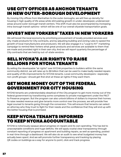#### USE CITY OFFICES AS ANCHOR TENANTS IN NEW OUTER-BOROUGH DEVELOPMENT

By moving City offices from Manhattan to the outer-boroughs, we will free up density for housing in high quality of life areas while stimulating growth in under-developed, underserved areas around outer-borough transit centers. This shift must also be accompanied by increasing intra-borough transit options—which will be one of our overall citywide transportation goals.

### INVEST NEW YORKERS' TAXES IN NEW YORKERS

We will boost the local economy by prioritizing procurement of locally provided services and city-made products for City contracts, and by adjusting building and zoning rules to speed the growth of local manufacturers and producers. We will also engage in a "Loyal to NY" marketing campaign to remind New Yorkers what great products and services are available to them that are made and provided right in their own city. And we will report quarterly the percentage of City contracts that are held by out-of-state vendors.

#### SELL NYCHA'S AIR RIGHTS TO RAISE BILLIONS FOR NYCHA TENANTS

By selling the developable "air rights" over NYCHA properties to builders within the same community district, we will raise up to \$8 billion that can be used to make badly needed repairs and quality of life improvements for NYCHA tenants. Local community developers—especially non-profit groups—should get first shot at these air rights if they want them.

#### GET MORE MONEY OUT OF THE FEDERAL GOVERNMENT FOR CITY HOUSING

NYCHA tenants are understandably skeptical of the City program to get more money out of the federal government by transitioning some complexes to private management under the PACT to Preserve program. But the program can also unlock billions of dollars to improve their homes. To raise needed revenue and give tenants more control over the process, we will provide free legal counsel to tenants going through the conversion. This will ensure that tenants can select an attorney who they trust to fight for their needs and the confidence that they will end up with the better housing that is promised.

#### KEEP NYCHA TENANTS INFORMED TO KEEP NYCHA ACCOUNTABLE

NYCHA is notoriously opaque about progress on repairs and its own spending. This has led to unacceptable conditions and huge deficits. We will apply crystal clear transparency through constant reporting of progress on apartment and building repairs, as well as spending, posted in real-time through a dashboard. We will also do an audit to see what budgeted money has actually been spent. And we will promote further transparency and tracking by placing QR codes on buildings as a way for anyone to point, click and track progress.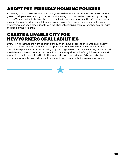## ADOPT PET-FRIENDLY HOUSING POLICIES

According to a study by the ASPCA, housing-related issues are the number one reason renters give up their pets. NYC is a city of renters, and housing that is owned or operated by the City of New York should not displace the cost of caring for animals on yet another City system—our animal shelters. By adopting pet-friendly policies in our City-owned and operated housing systems, we can keep pets out of the animal shelter by keeping them where they belong—with the people who love them.

#### CREATE A LIVABLE CITY FOR NEW YORKERS OF ALL ABILITIES

Every New Yorker has the right to enjoy our city and to have access to the same basic quality of life as their neighbors. Yet many of the approximately 1 million New Yorkers who live with a disability are prevented from easily using City buildings, streets, and even housing because their needs have not been prioritized. So we will conduct a citywide audit of City infrastructure and properties —including cultural institutions and other groups that lease City property—to determine where those needs are not being met, and then turn that into a plan for action.

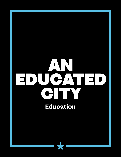## <span id="page-29-0"></span>AN EDUCATED CITY **Education**

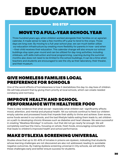## EDUCATION

#### BIG STEP

### MOVE TO A FULL-YEAR SCHOOL YEAR

Three hundred years ago, when children worked alongside their families on an agrarian calendar, it made sense to take a few months off a year to tend to the crops. Those days are long over. By moving to a full-year school year, we can much better utilize our education infrastructure by creating more flexibility for parents in how—and when —their child receives their education. This calendar change will also ensure our school buildings stay open year-round and can be utilized for day-long activities, including childcare, soft skills instruction and local programming. Learning during the summer months also does not need to be limited to the school buildings; it can be a time when teachers and students are encouraged to see the city as their laboratory, their theater, and their museum.

#### GIVE HOMELESS FAMILIES LOCAL PREFERENCE FOR SCHOOLS

One of the worst effects of homelessness is how it destabilizes the day-to-day lives of children. We will help prevent that by giving them priority at local schools, which can create needed constancy and normalcy.

#### IMPROVE HEALTH AND SCHOOL PERFORMANCE WITH HEALTHIER FOOD

There is clear evidence that what we eat—especially what children eat—significantly affects mood, attention, and mental and physical health. Yet our schools continue to feed our children empty calories and processed foods that impede their ability to thrive and achieve. Even worse, some foods served in our schools, and the bad lifestyle habits eating them leads to, set children on a path to developing chronic illnesses such as diabetes and heart disease. We were successful in creating "Meatless Mondays" in schools—but that did not go nearly far enough. We will completely overhaul the menu, focusing on whole, fresh foods, encouraging consumption that leads to children's improved health and school performance.

### MAKE DYSLEXIA SCREENING UNIVERSAL

Studies show that up to 30-40% of inmates in prisons are dyslexic, indicating that students whose learning challenges are not discovered are also not addressed, leading to avoidable negative outcomes. By making dyslexia screening universal in City schools, we will identify these challenges early and better ensure success for students.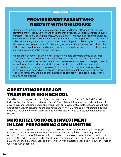#### PROVIDE EVERY PARENT WHO NEEDS IT WITH CHILDCARE

Childcare in New York is outrageously expensive—and lack of affordable childcare is harming parents' ability to work and their children's futures. Children without adequate childcare—especially during the first 1,000 days of life—are much less likely to succeed, and are much more likely to be Black and Brown. It is a moral imperative that we provide childcare for every parent who cannot afford it, starting with children ages 0 to 3. This will close a massive gap in care for the youngest New Yorkers at the most critical point of their brain development, and free up parents—especially women of color—to power our economy and excel in their own careers.

We can start by removing the biggest cost to childcare providers of young children: space. We will do this by prioritizing space in City-owned buildings for childcare, offering density bonuses to residential building developers who guarantee permanently free or low rent to providers, and with a tax break to office building owners and other private building owners who create free space for providers—savings which will be required to be passed on to parents. But we must also get much more out of our federal government. And doing that on behalf of parents will be a top priority for the Adams Administration.

#### GREATLY INCREASE JOB TRAINING IN HIGH SCHOOL

We will expand programs for our high school students like the Career Technical Education Industry Scholars Program and ApprenticeNYC, which teach fundamental skills that almost anyone in manufacturing needs, and then match employers with employees. And we will add and expand STEAM centers like the one at the Brooklyn Navy Yard to every borough and give students the chance to earn certifications in fields that will lead to jobs, not just academic degrees.

#### PRIORITIZE SCHOOLS INVESTMENT IN LOW-PERFORMING COMMUNITIES

There are both tangible and psychological problems created for students by a poor physical educational environment—and student outcomes are clearly linked. That is why we will prioritize Department of Education schools capital dollars to go toward the construction of state-of-the-art buildings in particularly low-performing communities. Additionally, less than 20% of our schools are fully accessible to children with physical disabilities. All new construction would be fully accessible.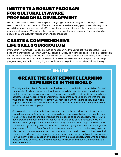#### INSTITUTE A ROBUST PROGRAM FOR CULTURALLY AWARE PROFESSIONAL DEVELOPMENT

Nearly one-half of all New Yorkers speak a language other than English at home, and new New Yorkers from hundreds of different countries move here every year. Their kids may have very different cultural norms that affect how they learn and their ability to succeed in an American classroom. We will create a professional development program for educators to ensure they are culturally responsive to those students.

#### CREATE A COMPREHENSIVE LIFE SKILLS CURRICULUM

Every adult knows that life skills are just as necessary to live a productive, successful life as academic knowledge. Unfortunately, our schools largely do not teach skills like social interaction and job interview etiquette. We will create a life skills curriculum to prepare every public school student to enter the adult world and work in it. We will also make internship and externship programming available to every high school student to put those skills to work right away.

#### BIG STEP

#### CREATE THE BEST REMOTE LEARNING EXPERIENCE IN THE WORLD

The City's initial rollout of remote learning has been completely unacceptable. Tens of thousands of kids are simply not logging-on on a daily basis because they don't have tablets or wi-fi, missing instruction that is costing them their future. At the same time, educators have not received the training or support they need to ensure that the kids who are online are learning effectively. But remote learning is here to stay, and it can improve education options for parents and students, as well as help desegregate our classrooms if done properly.

So, to create the best remote learning experience in the world for parents and students, we will first place a Data Tax on the massive tech companies that sell our private data to advertisers and others, and then use the proceeds to connect all New Yorkers who need broadband access to a provider at subsidized or no cost, if necessary. We will also use our buying power as a major client of Apple and Google to get hardware and software at significantly less cost than what we are paying now. That cost savings and new revenue from the Data Tax will help pay for a new unit of remote learning experts who oversee the program and improvements, and who can improve the technological literacy of students. From there, we will use remote learning as a vehicle to desegregate New York City public education by opening citywide class opportunities with top-flight educators and connecting them to students from all communities, transcending zip code and income.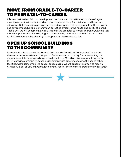#### MOVE FROM CRADLE-TO-CAREER TO PRENATAL-TO-CAREER

It is true that early childhood development is critical and that attention on the 0-3 ages must increase significantly, including much greater options for childcare, healthcare and education. But we need to go even further and recognize that an expectant mother's health and environment during pregnancy can be just as critical to the health and ability of a child. That is why we will become the global leader in the prenatal-to-career approach, with a much more comprehensive citywide program for expecting moms and families that links them to vital resources such as healthy foods, prenatal classes and doulas.

#### OPEN UP SCHOOL BUILDINGS TO THE COMMUNITY

Many useful school spaces lie dormant before and after school hours, as well as on the weekends because extended use permit fees are a barrier to entry for those serving the underserved. After years of advocacy, we launched a \$2 million pilot program through the DOE to provide community-based organizations with greater access to the use of school facilities, without incurring the cost of space usage. We will expand this effort to reach a greater number of CBOs that provide cultural, sports, or enrichment programming for youth.

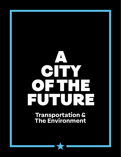# <span id="page-34-0"></span>A CHTY OF THE FUTURE

**Transportation & The Environment**

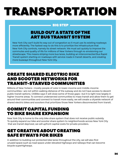## TRANSPORTATION

#### BIG STEP

#### BUILD OUT A STATE OF THE ART BUS TRANSIT SYSTEM

New York City can't build its way out of congestion so it must use its existing roadways more efficiently. The fastest way to do this is to prioritize the infrastructure that New York City controls, namely its street network. We must act quickly to improve the commutes and quality of life for millions of New Yorkers through re-envisioning our streetscape. This means striping more bus lanes, building an interconnected Bus Rapid Transit system starting on roadways with service roads in transit deserts, and creating more busways throughout New York City.

#### CREATE SHARED ELECTRIC BIKE AND SCOOTER NETWORKS FOR TRANSIT-STARVED COMMUNITIES

Millions of New Yorkers—mostly people of color in lower-income and middle-income communities—are not within walking distance of the subway and do not have access to decent public transit options. CitiBike says it will close some of those gaps—but it is right now largely in higher-income areas. To connect underserved communities to mass transit and allow them to get around their communities and connect to transit more easily, we will create a citywide network of shared electric bikes and scooters that prioritizes those New Yorkers disconnected from transit.

#### COMMIT CAPITAL FUNDING TO BIKE SHARE EXPANSION

New York City is home to the only bike share system that does not receive public subsidy. To quickly expand our bike and scooter share system to neighborhoods across New York City that are transit deprived, we will upfront capital costs for private providers.

#### GET CREATIVE ABOUT CREATING SAFE BYWAYS FOR BIKES

In addition to building out protected bike lanes throughout the city, we will also find unused space such as road space under elevated highways and railways that can become bicycle superhighways.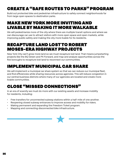## CREATE A "SAFE ROUTES TO PARKS" PROGRAM

Build out protected bike and pedestrian infrastructure to safely connect neighborhoods far from large open spaces to destination parks.

#### MAKE NEW YORK MORE INVITING AND LIVABLE BY MAKING IT MORE WALKABLE

We will pedestrianize more of the city where there are multiple transit options and where we can discourage car use to attract visitors with more open space and open markets, while improving public safety and making the city more livable for its residents.

#### RECAPTURE LAND LOST TO ROBERT MOSES-ERA HIGHWAY PROJECTS

New York CIty can't grow more land so we must recapture lost land. That means jumpstarting projects like the BQ Green and PX Forward, and map and analyze opportunities across the five boroughs to recapture lost land to reconnect our communities.

## IMPLEMENT MUNICIPAL CAR SHARE

We will implement a municipal car share system so that we can reduce our municipal fleet, and find efficiencies while sharing resources across agencies. This will reduce congestion in our central business districts where many of our agencies are located and create more livable communities.

### CLOSE "MISSED CONNECTIONS"

In an era of scarcity we must do more with our existing assets and increase mobility for residents, including:

- Free transfers for unconnected subway stations within a half-mile of one another.
- Reopening closed subway entrances to improve access and mobility for riders.
- Making permanent and expanding the Freedom Ticket program.
- Mapping and connecting disconnected bike infrastructure.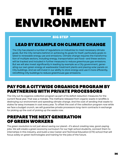## THE ENVIRONMENT

#### BIG STEP

#### LEAD BY EXAMPLE ON CLIMATE CHANGE

The City has placed a number of regulations on industries to meet necessary climate goals. But the City remains behind on achieving its goals for itself, particularly goals related to renewable energy use and emissions. Climate change requires the transformation of multiple sectors, including energy, transportation and food—and these sectors will be tracked and included in further measures to reduce greenhouse gas emissions. But we will also invest significantly in leading by example as a City government, generating our own green energy at wastewater treatment plants and placing solar panels on City buildings. And we will invest in our ability to store energy and use it more efficiently, retrofitting City buildings to reduce greenhouse gas emissions.

#### PAY FOR A CITYWIDE ORGANICS PROGRAM BY PARTNERING WITH PRIVATE PROCESSORS

The City cut its organics collection program as part of its deficit reduction measures for the current fiscal year. That was a mistake. The methane released from organic waste in landfills is destroying our environment and speeding climate change. And the cost of sending that waste to states far away increases in cost every year. To offset the cost of the collection program now while we face a budget crunch, we will guarantee private processors long-term contracts in exchange for picking up the cost of picking up the waste now.

#### PREPARE THE NEXT GENERATION OF GREEN WORKERS

The green revolution is not just about saving our planet—it's about creating new, good-paying jobs. We will create a green economy curriculum for our high school students, connect them to internships in this industry, and build a new Career and Technical Education (CTE) school that will focus solely on green technologies and training for the jobs of the future.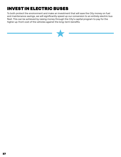## INVEST IN ELECTRIC BUSES

To both protect the environment and make an investment that will save the City money on fuel and maintenance savings, we will significantly speed up our conversion to an entirely electric bus fleet. This can be achieved by raising money through the City's capital program to pay for the higher up-front cost of the vehicles against the long-term benefits.